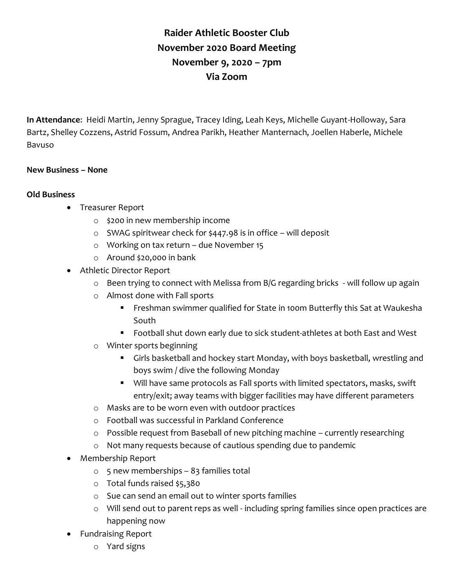## **Raider Athletic Booster Club November 2020 Board Meeting November 9, 2020 – 7pm Via Zoom**

**In Attendance**: Heidi Martin, Jenny Sprague, Tracey Iding, Leah Keys, Michelle Guyant-Holloway, Sara Bartz, Shelley Cozzens, Astrid Fossum, Andrea Parikh, Heather Manternach, Joellen Haberle, Michele Bavuso

## **New Business – None**

## **Old Business**

- Treasurer Report
	- o \$200 in new membership income
	- o SWAG spiritwear check for \$447.98 is in office will deposit
	- o Working on tax return due November 15
	- o Around \$20,000 in bank
- Athletic Director Report
	- o Been trying to connect with Melissa from B/G regarding bricks will follow up again
	- o Almost done with Fall sports
		- Freshman swimmer qualified for State in 100m Butterfly this Sat at Waukesha South
		- Football shut down early due to sick student-athletes at both East and West
	- o Winter sports beginning
		- Girls basketball and hockey start Monday, with boys basketball, wrestling and boys swim / dive the following Monday
		- Will have same protocols as Fall sports with limited spectators, masks, swift entry/exit; away teams with bigger facilities may have different parameters
	- o Masks are to be worn even with outdoor practices
	- o Football was successful in Parkland Conference
	- o Possible request from Baseball of new pitching machine currently researching
	- o Not many requests because of cautious spending due to pandemic
- Membership Report
	- $\circ$  5 new memberships 83 families total
	- o Total funds raised \$5,380
	- o Sue can send an email out to winter sports families
	- o Will send out to parent reps as well including spring families since open practices are happening now
- Fundraising Report
	- o Yard signs